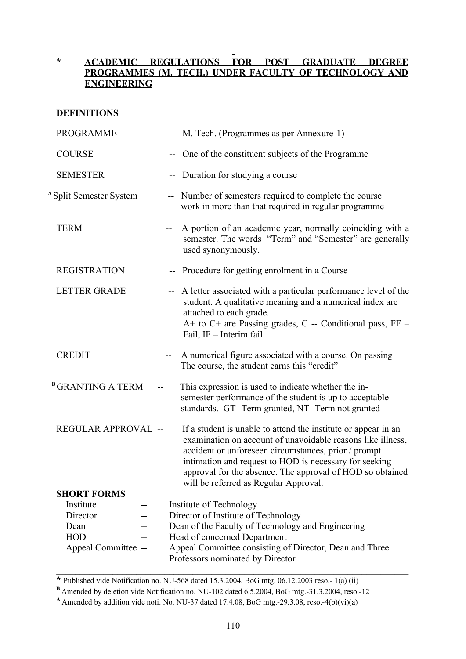# **\* ACADEMIC REGULATIONS FOR POST GRADUATE DEGREE PROGRAMMES (M. TECH.) UNDER FACULTY OF TECHNOLOGY AND ENGINEERING**

# **DEFINITIONS**

| <b>PROGRAMME</b>                    |                          | -- M. Tech. (Programmes as per Annexure-1)                                                                                                                                                                                                                                                                                                            |
|-------------------------------------|--------------------------|-------------------------------------------------------------------------------------------------------------------------------------------------------------------------------------------------------------------------------------------------------------------------------------------------------------------------------------------------------|
| <b>COURSE</b>                       | --                       | One of the constituent subjects of the Programme                                                                                                                                                                                                                                                                                                      |
| <b>SEMESTER</b>                     |                          | Duration for studying a course                                                                                                                                                                                                                                                                                                                        |
| <sup>A</sup> Split Semester System  |                          | -- Number of semesters required to complete the course<br>work in more than that required in regular programme                                                                                                                                                                                                                                        |
| <b>TERM</b>                         | $\overline{\phantom{a}}$ | A portion of an academic year, normally coinciding with a<br>semester. The words "Term" and "Semester" are generally<br>used synonymously.                                                                                                                                                                                                            |
| <b>REGISTRATION</b>                 |                          | -- Procedure for getting enrolment in a Course                                                                                                                                                                                                                                                                                                        |
| <b>LETTER GRADE</b>                 |                          | -- A letter associated with a particular performance level of the<br>student. A qualitative meaning and a numerical index are<br>attached to each grade.<br>A+ to C+ are Passing grades, C -- Conditional pass, FF -<br>Fail, IF - Interim fail                                                                                                       |
| <b>CREDIT</b>                       | $--$                     | A numerical figure associated with a course. On passing<br>The course, the student earns this "credit"                                                                                                                                                                                                                                                |
| <sup>B</sup> GRANTING A TERM<br>$-$ |                          | This expression is used to indicate whether the in-<br>semester performance of the student is up to acceptable<br>standards. GT-Term granted, NT-Term not granted                                                                                                                                                                                     |
| REGULAR APPROVAL --                 |                          | If a student is unable to attend the institute or appear in an<br>examination on account of unavoidable reasons like illness,<br>accident or unforeseen circumstances, prior / prompt<br>intimation and request to HOD is necessary for seeking<br>approval for the absence. The approval of HOD so obtained<br>will be referred as Regular Approval. |
| <b>SHORT FORMS</b>                  |                          |                                                                                                                                                                                                                                                                                                                                                       |
| Institute<br>Director               |                          | Institute of Technology                                                                                                                                                                                                                                                                                                                               |
| Dean                                |                          | Director of Institute of Technology<br>Dean of the Faculty of Technology and Engineering                                                                                                                                                                                                                                                              |
| <b>HOD</b>                          |                          | Head of concerned Department                                                                                                                                                                                                                                                                                                                          |
| Appeal Committee --                 |                          | Appeal Committee consisting of Director, Dean and Three<br>Professors nominated by Director                                                                                                                                                                                                                                                           |

**\*** Published vide Notification no. NU-568 dated 15.3.2004, BoG mtg. 06.12.2003 reso.- 1(a) (ii)

**B** Amended by deletion vide Notification no. NU-102 dated 6.5.2004, BoG mtg.-31.3.2004, reso.-12

**<sup>A</sup>** Amended by addition vide noti. No. NU-37 dated 17.4.08, BoG mtg.-29.3.08, reso.-4(b)(vi)(a)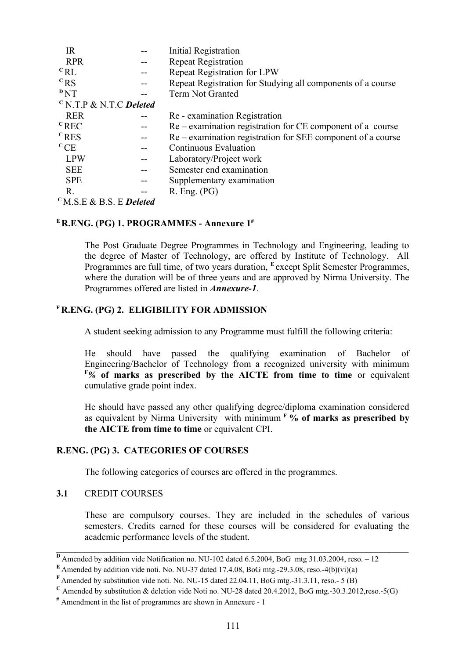| <b>IR</b>                        | <b>Initial Registration</b>                                    |
|----------------------------------|----------------------------------------------------------------|
| <b>RPR</b>                       | <b>Repeat Registration</b>                                     |
| ${}^{\rm c}$ RL                  | <b>Repeat Registration for LPW</b>                             |
| ${}^{\rm c}$ <sub>RS</sub>       | Repeat Registration for Studying all components of a course    |
| PNT                              | <b>Term Not Granted</b>                                        |
| $\rm ^{c}$ N.T.P & N.T.C Deleted |                                                                |
| <b>RER</b>                       | Re - examination Registration                                  |
| ${}^{\rm c}$ REC                 | $Re$ – examination registration for $CE$ component of a course |
| $c$ <sub>RES</sub>               | Re – examination registration for SEE component of a course    |
| ${}^{\rm c}$ CE                  | <b>Continuous Evaluation</b>                                   |
| <b>LPW</b>                       | Laboratory/Project work                                        |
| <b>SEE</b>                       | Semester end examination                                       |
| <b>SPE</b>                       | Supplementary examination                                      |
| R.                               | $R.$ Eng. $(PG)$                                               |
| $\rm ^{c}M.S.E$ & B.S. E Deleted |                                                                |

## **<sup>E</sup>R.ENG. (PG) 1. PROGRAMMES - Annexure 1#**

The Post Graduate Degree Programmes in Technology and Engineering, leading to the degree of Master of Technology, are offered by Institute of Technology. All Programmes are full time, of two years duration, <sup>E</sup> except Split Semester Programmes, where the duration will be of three years and are approved by Nirma University. The Programmes offered are listed in *Annexure-1*.

## **<sup>F</sup>R.ENG. (PG) 2. ELIGIBILITY FOR ADMISSION**

A student seeking admission to any Programme must fulfill the following criteria:

He should have passed the qualifying examination of Bachelor of Engineering/Bachelor of Technology from a recognized university with minimum **<sup>F</sup>***%* **of marks as prescribed by the AICTE from time to time** or equivalent cumulative grade point index.

He should have passed any other qualifying degree/diploma examination considered as equivalent by Nirma University with minimum**<sup>F</sup>% of marks as prescribed by the AICTE from time to time** or equivalent CPI.

## **R.ENG. (PG) 3. CATEGORIES OF COURSES**

The following categories of courses are offered in the programmes.

# **3.1** CREDIT COURSES

These are compulsory courses. They are included in the schedules of various semesters. Credits earned for these courses will be considered for evaluating the academic performance levels of the student.

**D**Amended by addition vide Notification no. NU-102 dated 6.5.2004, BoG mtg 31.03.2004, reso. – 12

 $E$  Amended by addition vide noti. No. NU-37 dated 17.4.08, BoG mtg.-29.3.08, reso.-4(b)(vi)(a)

**<sup>F</sup>** Amended by substitution vide noti. No. NU-15 dated 22.04.11, BoG mtg.-31.3.11, reso.- 5 (B)

 $\rm{c}$  Amended by substitution & deletion vide Noti no. NU-28 dated 20.4.2012, BoG mtg.-30.3.2012,reso.-5(G)

**<sup>#</sup>** Amendment in the list of programmes are shown in Annexure - 1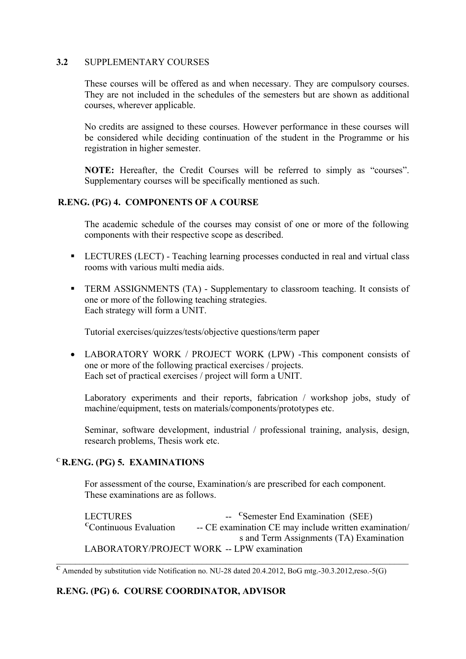## **3.2** SUPPLEMENTARY COURSES

These courses will be offered as and when necessary. They are compulsory courses. They are not included in the schedules of the semesters but are shown as additional courses, wherever applicable.

No credits are assigned to these courses. However performance in these courses will be considered while deciding continuation of the student in the Programme or his registration in higher semester.

**NOTE:** Hereafter, the Credit Courses will be referred to simply as "courses". Supplementary courses will be specifically mentioned as such.

## **R.ENG. (PG) 4. COMPONENTS OF A COURSE**

The academic schedule of the courses may consist of one or more of the following components with their respective scope as described.

- LECTURES (LECT) Teaching learning processes conducted in real and virtual class rooms with various multi media aids.
- **TERM ASSIGNMENTS (TA) Supplementary to classroom teaching. It consists of** one or more of the following teaching strategies. Each strategy will form a UNIT.

Tutorial exercises/quizzes/tests/objective questions/term paper

 LABORATORY WORK / PROJECT WORK (LPW) -This component consists of one or more of the following practical exercises / projects. Each set of practical exercises / project will form a UNIT.

Laboratory experiments and their reports, fabrication / workshop jobs, study of machine/equipment, tests on materials/components/prototypes etc.

Seminar, software development, industrial / professional training, analysis, design, research problems, Thesis work etc.

## **<sup>C</sup>R.ENG. (PG) 5. EXAMINATIONS**

For assessment of the course, Examination/s are prescribed for each component. These examinations are as follows.

**LECTURES** <sup>--</sup> <sup>C</sup>Semester End Examination (SEE) <sup>C</sup>Continuous Evaluation -- CE examination CE may include written examination/ s and Term Assignments (TA) Examination LABORATORY/PROJECT WORK -- LPW examination

 $\overline{C}$  Amended by substitution vide Notification no. NU-28 dated 20.4.2012, BoG mtg.-30.3.2012,reso.-5(G)

# **R.ENG. (PG) 6. COURSE COORDINATOR, ADVISOR**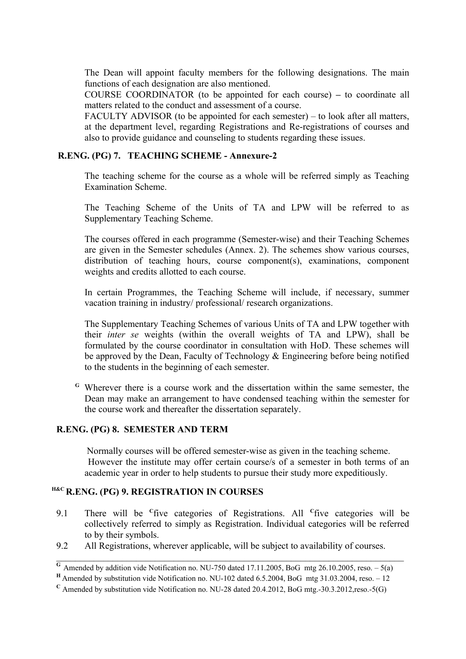The Dean will appoint faculty members for the following designations. The main functions of each designation are also mentioned.

COURSE COORDINATOR (to be appointed for each course) **–** to coordinate all matters related to the conduct and assessment of a course.

FACULTY ADVISOR (to be appointed for each semester) – to look after all matters, at the department level, regarding Registrations and Re-registrations of courses and also to provide guidance and counseling to students regarding these issues.

## **R.ENG. (PG) 7. TEACHING SCHEME - Annexure-2**

The teaching scheme for the course as a whole will be referred simply as Teaching Examination Scheme.

The Teaching Scheme of the Units of TA and LPW will be referred to as Supplementary Teaching Scheme.

The courses offered in each programme (Semester-wise) and their Teaching Schemes are given in the Semester schedules (Annex. 2). The schemes show various courses, distribution of teaching hours, course component(s), examinations, component weights and credits allotted to each course.

In certain Programmes, the Teaching Scheme will include, if necessary, summer vacation training in industry/ professional/ research organizations.

The Supplementary Teaching Schemes of various Units of TA and LPW together with their *inter se* weights (within the overall weights of TA and LPW), shall be formulated by the course coordinator in consultation with HoD. These schemes will be approved by the Dean, Faculty of Technology & Engineering before being notified to the students in the beginning of each semester.

**<sup>G</sup>**Wherever there is a course work and the dissertation within the same semester, the Dean may make an arrangement to have condensed teaching within the semester for the course work and thereafter the dissertation separately.

### **R.ENG. (PG) 8. SEMESTER AND TERM**

 Normally courses will be offered semester-wise as given in the teaching scheme. However the institute may offer certain course/s of a semester in both terms of an academic year in order to help students to pursue their study more expeditiously.

## **H&C R.ENG. (PG) 9. REGISTRATION IN COURSES**

- 9.1 There will be **<sup>C</sup>** five categories of Registrations. All **<sup>C</sup>** five categories will be collectively referred to simply as Registration. Individual categories will be referred to by their symbols.
- 9.2 All Registrations, wherever applicable, will be subject to availability of courses.

 $\overline{G}$  Amended by addition vide Notification no. NU-750 dated 17.11.2005, BoG mtg 26.10.2005, reso. – 5(a)

**<sup>H</sup>**Amended by substitution vide Notification no. NU-102 dated 6.5.2004, BoG mtg 31.03.2004, reso. – 12

 $\rm{c}$  Amended by substitution vide Notification no. NU-28 dated 20.4.2012, BoG mtg.-30.3.2012,reso.-5(G)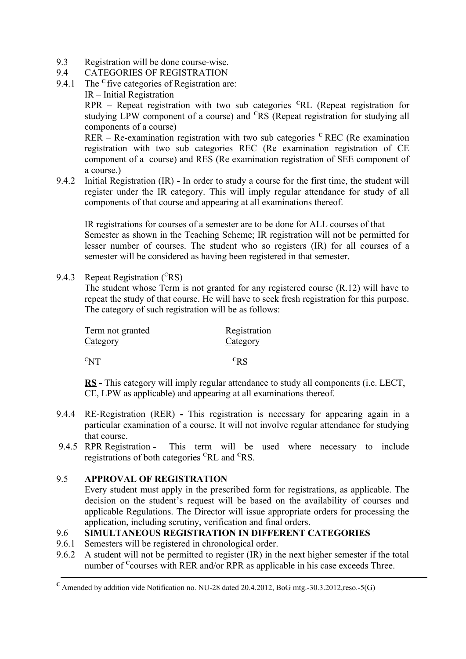- 9.3 Registration will be done course-wise.
- 9.4 CATEGORIES OF REGISTRATION
- 9.4.1 The <sup>c</sup> five categories of Registration are:
	- IR Initial Registration

RPR – Repeat registration with two sub categories **<sup>C</sup>**RL (Repeat registration for studying LPW component of a course) and **<sup>C</sup>**RS (Repeat registration for studying all components of a course)

RER – Re-examination registration with two sub categories  $\text{c}$  REC (Re examination registration with two sub categories REC (Re examination registration of CE component of a course) and RES (Re examination registration of SEE component of a course.)

9.4.2 Initial Registration (IR) **-** In order to study a course for the first time, the student will register under the IR category. This will imply regular attendance for study of all components of that course and appearing at all examinations thereof.

 IR registrations for courses of a semester are to be done for ALL courses of that Semester as shown in the Teaching Scheme; IR registration will not be permitted for lesser number of courses. The student who so registers (IR) for all courses of a semester will be considered as having been registered in that semester.

9.4.3 Repeat Registration  $(^{C}RS)$ 

The student whose Term is not granted for any registered course (R.12) will have to repeat the study of that course. He will have to seek fresh registration for this purpose. The category of such registration will be as follows:

| Term not granted                    | Registration |
|-------------------------------------|--------------|
| <u>Category</u>                     | Category     |
| $\mathrm{C}_{\mathbf{N}\mathbf{T}}$ | $c_{\rm RS}$ |

**RS -** This category will imply regular attendance to study all components (i.e. LECT, CE, LPW as applicable) and appearing at all examinations thereof.

- 9.4.4 RE-Registration (RER)This registration is necessary for appearing again in a particular examination of a course. It will not involve regular attendance for studying that course.
- 9.4.5 RPR Registration This term will be used where necessary to include registrations of both categories **<sup>C</sup>**RL and **<sup>C</sup>**RS.

# 9.5 **APPROVAL OF REGISTRATION**

Every student must apply in the prescribed form for registrations, as applicable. The decision on the student's request will be based on the availability of courses and applicable Regulations. The Director will issue appropriate orders for processing the application, including scrutiny, verification and final orders.

# 9.6 **SIMULTANEOUS REGISTRATION IN DIFFERENT CATEGORIES**

- 9.6.1 Semesters will be registered in chronological order.
- 9.6.2 A student will not be permitted to register (IR) in the next higher semester if the total number of <sup>C</sup>courses with RER and/or RPR as applicable in his case exceeds Three.

 $\rm{c}$  Amended by addition vide Notification no. NU-28 dated 20.4.2012, BoG mtg.-30.3.2012,reso.-5(G)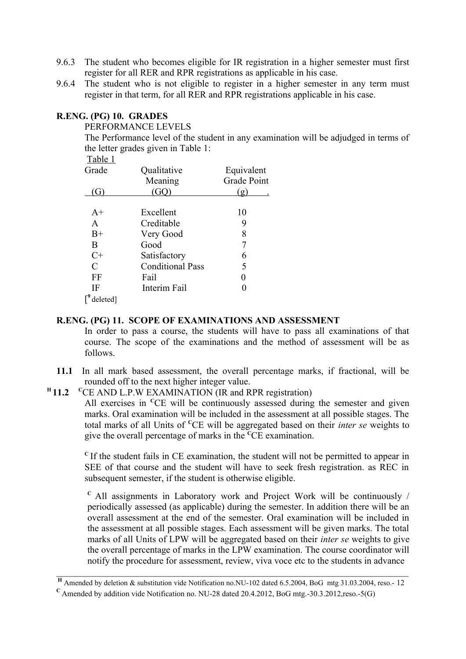- 9.6.3 The student who becomes eligible for IR registration in a higher semester must first register for all RER and RPR registrations as applicable in his case.
- 9.6.4 The student who is not eligible to register in a higher semester in any term must register in that term, for all RER and RPR registrations applicable in his case.

## **R.ENG. (PG) 10. GRADES**

### PERFORMANCE LEVELS

The Performance level of the student in any examination will be adjudged in terms of the letter grades given in Table 1:

| Table 1                     |                         |             |
|-----------------------------|-------------------------|-------------|
| Grade                       | Qualitative             | Equivalent  |
|                             | Meaning                 | Grade Point |
|                             |                         | $\sigma$    |
|                             |                         |             |
| $A+$                        | Excellent               | 10          |
| A                           | Creditable              | 9           |
| $B+$                        | Very Good               | 8           |
| B                           | Good                    |             |
| $C+$                        | Satisfactory            | 6           |
| $\mathcal{C}_{\mathcal{C}}$ | <b>Conditional Pass</b> | 5           |
| FF                          | Fail                    |             |
| IF                          | Interim Fail            |             |
| deleted]                    |                         |             |

## **R.ENG. (PG) 11. SCOPE OF EXAMINATIONS AND ASSESSMENT**

In order to pass a course, the students will have to pass all examinations of that course. The scope of the examinations and the method of assessment will be as follows.

**11.1** In all mark based assessment, the overall percentage marks, if fractional, will be rounded off to the next higher integer value.

#### **<sup>H</sup>11.2** <sup>C</sup>CE AND L.P.W EXAMINATION (IR and RPR registration)

All exercises in <sup>C</sup>CE will be continuously assessed during the semester and given marks. Oral examination will be included in the assessment at all possible stages. The total marks of all Units of **<sup>C</sup>**CE will be aggregated based on their *inter se* weights to give the overall percentage of marks in the **<sup>C</sup>**CE examination.

**<sup>C</sup>**If the student fails in CE examination, the student will not be permitted to appear in SEE of that course and the student will have to seek fresh registration. as REC in subsequent semester, if the student is otherwise eligible.

**<sup>C</sup>**All assignments in Laboratory work and Project Work will be continuously / periodically assessed (as applicable) during the semester. In addition there will be an overall assessment at the end of the semester. Oral examination will be included in the assessment at all possible stages. Each assessment will be given marks. The total marks of all Units of LPW will be aggregated based on their *inter se* weights to give the overall percentage of marks in the LPW examination. The course coordinator will notify the procedure for assessment, review, viva voce etc to the students in advance

**<sup>H</sup>** Amended by deletion & substitution vide Notification no.NU-102 dated 6.5.2004, BoG mtg 31.03.2004, reso.- 12

 $\rm{C}$  Amended by addition vide Notification no. NU-28 dated 20.4.2012, BoG mtg.-30.3.2012,reso.-5(G)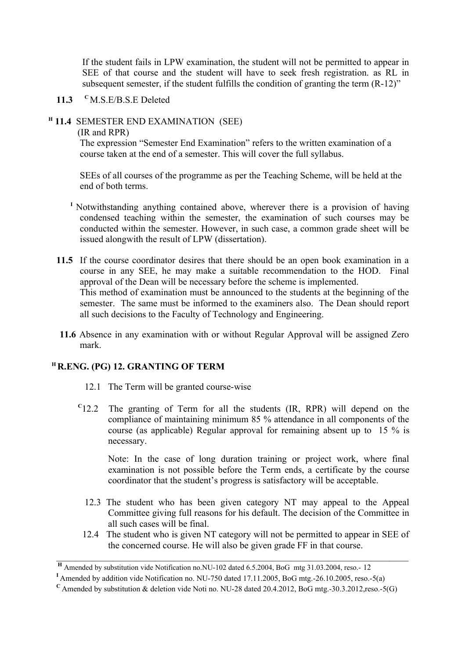If the student fails in LPW examination, the student will not be permitted to appear in SEE of that course and the student will have to seek fresh registration. as RL in subsequent semester, if the student fulfills the condition of granting the term (R-12)"

**11.3 <sup>C</sup>**M.S.E/B.S.E Deleted

## **<sup>H</sup> 11.4** SEMESTER END EXAMINATION (SEE)

### (IR and RPR)

The expression "Semester End Examination" refers to the written examination of a course taken at the end of a semester. This will cover the full syllabus.

SEEs of all courses of the programme as per the Teaching Scheme, will be held at the end of both terms.

- <sup>I</sup>Notwithstanding anything contained above, wherever there is a provision of having condensed teaching within the semester, the examination of such courses may be conducted within the semester. However, in such case, a common grade sheet will be issued alongwith the result of LPW (dissertation).
- **11.5** If the course coordinator desires that there should be an open book examination in a course in any SEE, he may make a suitable recommendation to the HOD. Final approval of the Dean will be necessary before the scheme is implemented. This method of examination must be announced to the students at the beginning of the semester. The same must be informed to the examiners also. The Dean should report all such decisions to the Faculty of Technology and Engineering.
- **11.6** Absence in any examination with or without Regular Approval will be assigned Zero mark.

# **<sup>H</sup>R.ENG. (PG) 12. GRANTING OF TERM**

- 12.1 The Term will be granted course-wise
- **C** 12.2 The granting of Term for all the students (IR, RPR) will depend on the compliance of maintaining minimum 85 % attendance in all components of the course (as applicable) Regular approval for remaining absent up to 15 % is necessary.

Note: In the case of long duration training or project work, where final examination is not possible before the Term ends, a certificate by the course coordinator that the student's progress is satisfactory will be acceptable.

- 12.3 The student who has been given category NT may appeal to the Appeal Committee giving full reasons for his default. The decision of the Committee in all such cases will be final.
- 12.4 The student who is given NT category will not be permitted to appear in SEE of the concerned course. He will also be given grade FF in that course.

**<sup>H</sup>** Amended by substitution vide Notification no.NU-102 dated 6.5.2004, BoG mtg 31.03.2004, reso.- 12

**<sup>I</sup>**Amended by addition vide Notification no. NU-750 dated 17.11.2005, BoG mtg.-26.10.2005, reso.-5(a)

 $\overline{C}$  Amended by substitution & deletion vide Noti no. NU-28 dated 20.4.2012, BoG mtg.-30.3.2012,reso.-5(G)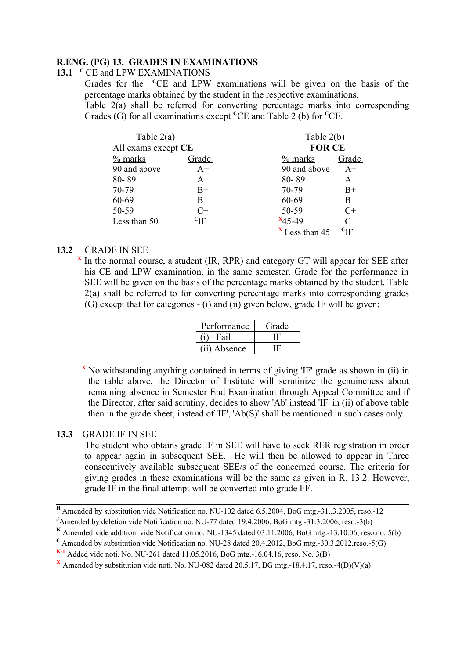# **R.ENG. (PG) 13. GRADES IN EXAMINATIONS**

## 13.1 <sup>C</sup>CE and LPW EXAMINATIONS

Grades for the **<sup>C</sup>**CE and LPW examinations will be given on the basis of the percentage marks obtained by the student in the respective examinations.

Table 2(a) shall be referred for converting percentage marks into corresponding Grades (G) for all examinations except **<sup>C</sup>**CE and Table 2 (b) for **<sup>C</sup>**CE.

| Table 2(a)          |                      | Table 2(b)       |                   |
|---------------------|----------------------|------------------|-------------------|
| All exams except CE |                      | <b>FOR CE</b>    |                   |
| $%$ marks           | Grade                | $%$ marks        | Grade             |
| 90 and above        | $A+$                 | 90 and above     | $A+$              |
| 80-89               | A                    | 80-89            | A                 |
| 70-79               | $B+$                 | 70-79            | $B+$              |
| 60-69               | B                    | 60-69            | B                 |
| 50-59               | $C+$                 | 50-59            | $C+$              |
| Less than 50        | ${}^{\mathrm{c}}$ IF | $x_{45-49}$      | C                 |
|                     |                      | $X$ Less than 45 | $\mathrm{^{C}IF}$ |

## **13.2** GRADE IN SEE

**X** In the normal course, a student (IR, RPR) and category GT will appear for SEE after his CE and LPW examination, in the same semester. Grade for the performance in SEE will be given on the basis of the percentage marks obtained by the student. Table 2(a) shall be referred to for converting percentage marks into corresponding grades (G) except that for categories - (i) and (ii) given below, grade IF will be given:

| Performance  | Grade |
|--------------|-------|
| Fail         |       |
| (ii) Absence |       |

**<sup>X</sup>** Notwithstanding anything contained in terms of giving 'IF' grade as shown in (ii) in the table above, the Director of Institute will scrutinize the genuineness about remaining absence in Semester End Examination through Appeal Committee and if the Director, after said scrutiny, decides to show 'Ab' instead 'IF' in (ii) of above table then in the grade sheet, instead of 'IF', 'Ab(S)' shall be mentioned in such cases only.

## **13.3** GRADE IF IN SEE

The student who obtains grade IF in SEE will have to seek RER registration in order to appear again in subsequent SEE. He will then be allowed to appear in Three consecutively available subsequent SEE/s of the concerned course. The criteria for giving grades in these examinations will be the same as given in R. 13.2. However, grade IF in the final attempt will be converted into grade FF.

**<sup>H</sup>**Amended by substitution vide Notification no. NU-102 dated 6.5.2004, BoG mtg.-31..3.2005, reso.-12

**<sup>J</sup>**Amended by deletion vide Notification no. NU-77 dated 19.4.2006, BoG mtg.-31.3.2006, reso.-3(b)

**K** Amended vide addition vide Notification no. NU-1345 dated 03.11.2006, BoG mtg.-13.10.06, reso.no. 5(b)

**<sup>C</sup>**Amended by substitution vide Notification no. NU-28 dated 20.4.2012, BoG mtg.-30.3.2012,reso.-5(G)

**K-1** Added vide noti. No. NU-261 dated 11.05.2016, BoG mtg.-16.04.16, reso. No. 3(B)

**<sup>X</sup>** Amended by substitution vide noti. No. NU-082 dated 20.5.17, BG mtg.-18.4.17, reso.-4(D)(V)(a)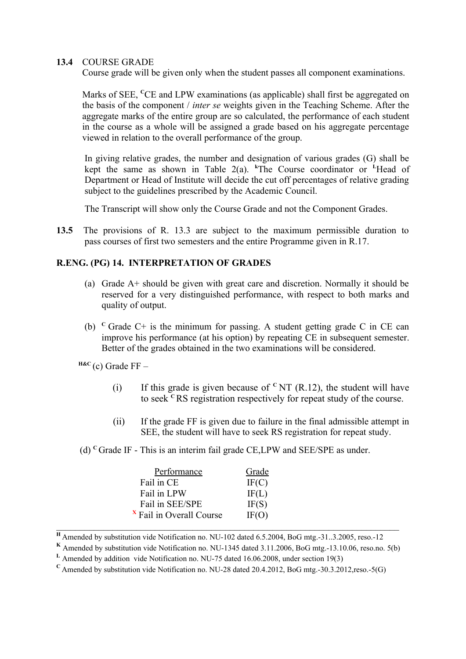## 13.4 COURSE GRADE

Course grade will be given only when the student passes all component examinations.

Marks of SEE, <sup>C</sup>CE and LPW examinations (as applicable) shall first be aggregated on the basis of the component / *inter se* weights given in the Teaching Scheme. After the aggregate marks of the entire group are so calculated, the performance of each student in the course as a whole will be assigned a grade based on his aggregate percentage viewed in relation to the overall performance of the group.

In giving relative grades, the number and designation of various grades (G) shall be kept the same as shown in Table 2(a).  $k$ The Course coordinator or <sup>L</sup>Head of Department or Head of Institute will decide the cut off percentages of relative grading subject to the guidelines prescribed by the Academic Council.

The Transcript will show only the Course Grade and not the Component Grades.

**13.5** The provisions of R. 13.3 are subject to the maximum permissible duration to pass courses of first two semesters and the entire Programme given in R.17.

# **R.ENG. (PG) 14. INTERPRETATION OF GRADES**

- (a) Grade A+ should be given with great care and discretion. Normally it should be reserved for a very distinguished performance, with respect to both marks and quality of output.
- (b)  $C$  Grade C+ is the minimum for passing. A student getting grade C in CE can improve his performance (at his option) by repeating CE in subsequent semester. Better of the grades obtained in the two examinations will be considered.

 $HAC$  (c) Grade FF –

- (i) If this grade is given because of  ${}^{\text{c}}$  NT (R.12), the student will have to seek **<sup>C</sup>**RS registration respectively for repeat study of the course.
- (ii) If the grade FF is given due to failure in the final admissible attempt in SEE, the student will have to seek RS registration for repeat study.
- (d) **<sup>C</sup>**Grade IF This is an interim fail grade CE,LPW and SEE/SPE as under.

| Performance                         | Grade |
|-------------------------------------|-------|
| Fail in CE                          | IF(C) |
| Fail in LPW                         | IF(L) |
| Fail in SEE/SPE                     | IF(S) |
| <sup>x</sup> Fail in Overall Course | IF(O) |

**<sup>H</sup>**Amended by substitution vide Notification no. NU-102 dated 6.5.2004, BoG mtg.-31..3.2005, reso.-12

**K** Amended by substitution vide Notification no. NU-1345 dated 3.11.2006, BoG mtg.-13.10.06, reso.no. 5(b)

**L** Amended by addition vide Notification no. NU-75 dated 16.06.2008, under section 19(3)

 $\rm{c}$  Amended by substitution vide Notification no. NU-28 dated 20.4.2012, BoG mtg.-30.3.2012,reso.-5(G)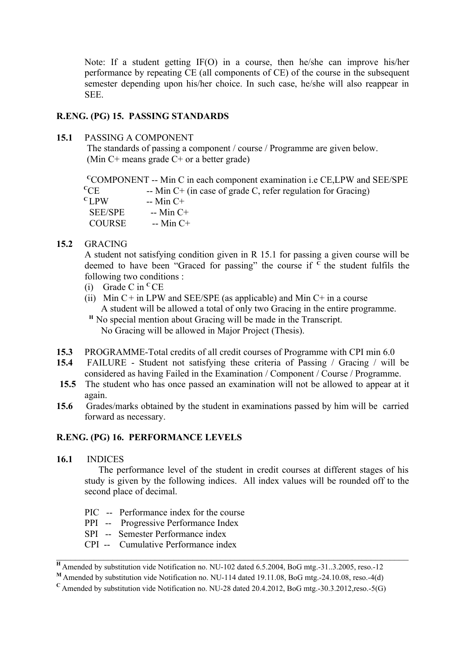Note: If a student getting IF(O) in a course, then he/she can improve his/her performance by repeating CE (all components of CE) of the course in the subsequent semester depending upon his/her choice. In such case, he/she will also reappear in SEE.

## **R.ENG. (PG) 15. PASSING STANDARDS**

## **15.1** PASSING A COMPONENT

 The standards of passing a component / course / Programme are given below. (Min C+ means grade C+ or a better grade)

| $\rm ^{c}COMPORT$ -- Min C in each component examination i.e CE, LPW and SEE/SPE |
|----------------------------------------------------------------------------------|
| -- Min $C$ + (in case of grade C, refer regulation for Gracing)                  |
|                                                                                  |
|                                                                                  |
|                                                                                  |
|                                                                                  |

## **15.2** GRACING

A student not satisfying condition given in R 15.1 for passing a given course will be deemed to have been "Graced for passing" the course if  $\overline{C}$  the student fulfils the following two conditions :

- (i) Grade C in **<sup>C</sup>**CE
- (ii) Min  $C+$  in LPW and SEE/SPE (as applicable) and Min  $C+$  in a course A student will be allowed a total of only two Gracing in the entire programme.
- <sup>H</sup> No special mention about Gracing will be made in the Transcript. No Gracing will be allowed in Major Project (Thesis).
- **15.3** PROGRAMME-Total credits of all credit courses of Programme with CPI min 6.0
- **15.4** FAILURE Student not satisfying these criteria of Passing / Gracing / will be considered as having Failed in the Examination / Component / Course / Programme.
- **15.5** The student who has once passed an examination will not be allowed to appear at it again.
- **15.6** Grades/marks obtained by the student in examinations passed by him will be carried forward as necessary.

## **R.ENG. (PG) 16. PERFORMANCE LEVELS**

**16.1** INDICES

 The performance level of the student in credit courses at different stages of his study is given by the following indices. All index values will be rounded off to the second place of decimal.

- PIC -- Performance index for the course
- PPI -- Progressive Performance Index
- SPI -- Semester Performance index
- CPI -- Cumulative Performance index

**<sup>H</sup>**Amended by substitution vide Notification no. NU-102 dated 6.5.2004, BoG mtg.-31..3.2005, reso.-12

**<sup>M</sup>**Amended by substitution vide Notification no. NU-114 dated 19.11.08, BoG mtg.-24.10.08, reso.-4(d)

 $\rm{c}$  Amended by substitution vide Notification no. NU-28 dated 20.4.2012, BoG mtg.-30.3.2012,reso.-5(G)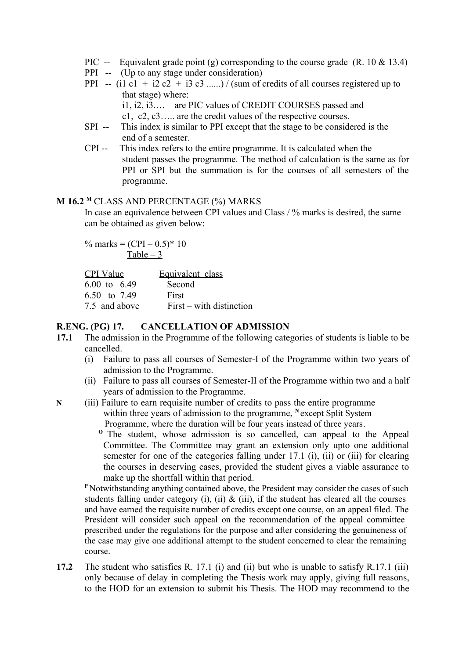- PIC -- Equivalent grade point (g) corresponding to the course grade  $(R. 10 \& 13.4)$
- PPI -- (Up to any stage under consideration)
- PPI -- (i1 c1 + i2 c2 + i3 c3 ......) / (sum of credits of all courses registered up to that stage) where:

i1, i2, i3.… are PIC values of CREDIT COURSES passed and c1, c2, c3….. are the credit values of the respective courses.

SPI -- This index is similar to PPI except that the stage to be considered is the

end of a semester.

 CPI -- This index refers to the entire programme. It is calculated when the student passes the programme. The method of calculation is the same as for PPI or SPI but the summation is for the courses of all semesters of the programme.

## **M 16.2 <sup>M</sup>** CLASS AND PERCENTAGE (%) MARKS

In case an equivalence between CPI values and Class / % marks is desired, the same can be obtained as given below:

% marks =  $(CPI - 0.5)^* 10$ Table  $-3$ 

| CPI Value               | Equivalent class         |
|-------------------------|--------------------------|
| $6.00 \text{ to } 6.49$ | Second                   |
| 6.50 to 7.49            | First                    |
| 7.5 and above           | First – with distinction |

# **R.ENG. (PG) 17. CANCELLATION OF ADMISSION**

- **17.1** The admission in the Programme of the following categories of students is liable to be cancelled.
	- (i) Failure to pass all courses of Semester-I of the Programme within two years of admission to the Programme.
	- (ii) Failure to pass all courses of Semester-II of the Programme within two and a half years of admission to the Programme.
- **N** (iii) Failure to earn requisite number of credits to pass the entire programme within three years of admission to the programme, <sup>N</sup>except Split System Programme, where the duration will be four years instead of three years.

<sup>o</sup> The student, whose admission is so cancelled, can appeal to the Appeal Committee. The Committee may grant an extension only upto one additional semester for one of the categories falling under 17.1 (i), (ii) or (iii) for clearing the courses in deserving cases, provided the student gives a viable assurance to make up the shortfall within that period.

**<sup>P</sup>**Notwithstanding anything contained above, the President may consider the cases of such students falling under category (i), (ii)  $\&$  (iii), if the student has cleared all the courses and have earned the requisite number of credits except one course, on an appeal filed. The President will consider such appeal on the recommendation of the appeal committee prescribed under the regulations for the purpose and after considering the genuineness of the case may give one additional attempt to the student concerned to clear the remaining course.

**17.2** The student who satisfies R. 17.1 (i) and (ii) but who is unable to satisfy R.17.1 (iii) only because of delay in completing the Thesis work may apply, giving full reasons, to the HOD for an extension to submit his Thesis. The HOD may recommend to the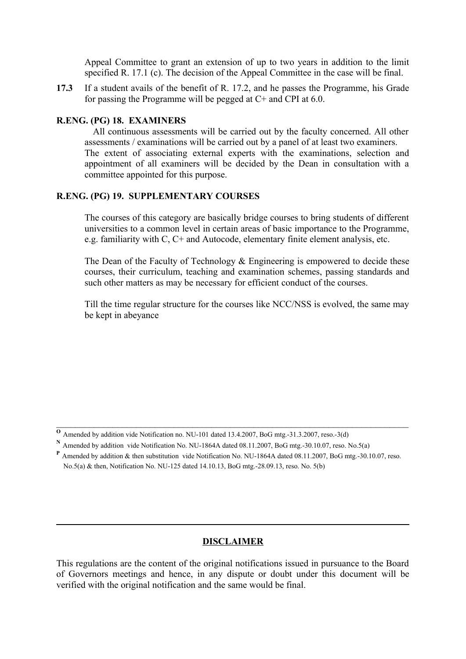Appeal Committee to grant an extension of up to two years in addition to the limit specified R. 17.1 (c). The decision of the Appeal Committee in the case will be final.

**17.3** If a student avails of the benefit of R. 17.2, and he passes the Programme, his Grade for passing the Programme will be pegged at C+ and CPI at 6.0.

### **R.ENG. (PG) 18. EXAMINERS**

 All continuous assessments will be carried out by the faculty concerned. All other assessments / examinations will be carried out by a panel of at least two examiners. The extent of associating external experts with the examinations, selection and appointment of all examiners will be decided by the Dean in consultation with a committee appointed for this purpose.

## **R.ENG. (PG) 19. SUPPLEMENTARY COURSES**

The courses of this category are basically bridge courses to bring students of different universities to a common level in certain areas of basic importance to the Programme, e.g. familiarity with C, C+ and Autocode, elementary finite element analysis, etc.

The Dean of the Faculty of Technology & Engineering is empowered to decide these courses, their curriculum, teaching and examination schemes, passing standards and such other matters as may be necessary for efficient conduct of the courses.

Till the time regular structure for the courses like NCC/NSS is evolved, the same may be kept in abeyance

## **DISCLAIMER**

This regulations are the content of the original notifications issued in pursuance to the Board of Governors meetings and hence, in any dispute or doubt under this document will be verified with the original notification and the same would be final.

**<sup>O</sup>** Amended by addition vide Notification no. NU-101 dated 13.4.2007, BoG mtg.-31.3.2007, reso.-3(d)

**<sup>N</sup>** Amended by addition vide Notification No. NU-1864A dated 08.11.2007, BoG mtg.-30.10.07, reso. No.5(a)

**<sup>P</sup>** Amended by addition & then substitution vide Notification No. NU-1864A dated 08.11.2007, BoG mtg.-30.10.07, reso. No.5(a) & then, Notification No. NU-125 dated 14.10.13, BoG mtg.-28.09.13, reso. No. 5(b)